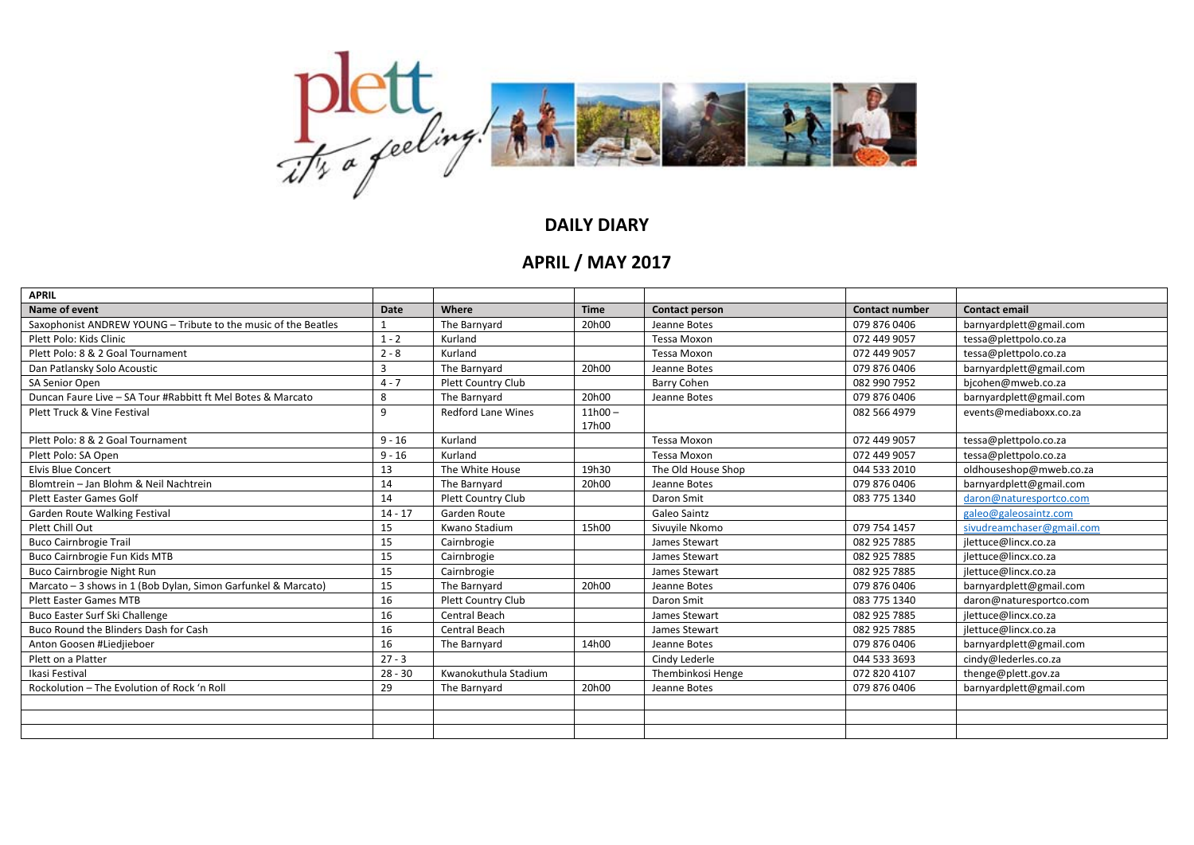

## **DAILY DIARY**

## **APRIL / MAY 2017**

| <b>APRIL</b>                                                   |             |                           |                    |                       |                       |                           |
|----------------------------------------------------------------|-------------|---------------------------|--------------------|-----------------------|-----------------------|---------------------------|
| Name of event                                                  | <b>Date</b> | Where                     | <b>Time</b>        | <b>Contact person</b> | <b>Contact number</b> | <b>Contact email</b>      |
| Saxophonist ANDREW YOUNG - Tribute to the music of the Beatles |             | The Barnyard              | 20h00              | Jeanne Botes          | 079 876 0406          | barnyardplett@gmail.com   |
| Plett Polo: Kids Clinic                                        | $1 - 2$     | Kurland                   |                    | <b>Tessa Moxon</b>    | 072 449 9057          | tessa@plettpolo.co.za     |
| Plett Polo: 8 & 2 Goal Tournament                              | $2 - 8$     | Kurland                   |                    | <b>Tessa Moxon</b>    | 072 449 9057          | tessa@plettpolo.co.za     |
| Dan Patlansky Solo Acoustic                                    | 3           | The Barnyard              | 20h00              | Jeanne Botes          | 079 876 0406          | barnyardplett@gmail.com   |
| SA Senior Open                                                 | $4 - 7$     | Plett Country Club        |                    | <b>Barry Cohen</b>    | 082 990 7952          | bjcohen@mweb.co.za        |
| Duncan Faure Live - SA Tour #Rabbitt ft Mel Botes & Marcato    | 8           | The Barnyard              | 20h00              | Jeanne Botes          | 079 876 0406          | barnyardplett@gmail.com   |
| Plett Truck & Vine Festival                                    | 9           | <b>Redford Lane Wines</b> | $11h00 -$<br>17h00 |                       | 082 566 4979          | events@mediaboxx.co.za    |
| Plett Polo: 8 & 2 Goal Tournament                              | $9 - 16$    | Kurland                   |                    | <b>Tessa Moxon</b>    | 072 449 9057          | tessa@plettpolo.co.za     |
| Plett Polo: SA Open                                            | $9 - 16$    | Kurland                   |                    | <b>Tessa Moxon</b>    | 072 449 9057          | tessa@plettpolo.co.za     |
| <b>Elvis Blue Concert</b>                                      | 13          | The White House           | 19h30              | The Old House Shop    | 044 533 2010          | oldhouseshop@mweb.co.za   |
| Blomtrein - Jan Blohm & Neil Nachtrein                         | 14          | The Barnyard              | 20h00              | Jeanne Botes          | 079 876 0406          | barnyardplett@gmail.com   |
| <b>Plett Easter Games Golf</b>                                 | 14          | <b>Plett Country Club</b> |                    | Daron Smit            | 083 775 1340          | daron@naturesportco.com   |
| Garden Route Walking Festival                                  | $14 - 17$   | Garden Route              |                    | Galeo Saintz          |                       | galeo@galeosaintz.com     |
| Plett Chill Out                                                | 15          | Kwano Stadium             | 15h00              | Sivuyile Nkomo        | 079 754 1457          | sivudreamchaser@gmail.com |
| <b>Buco Cairnbrogie Trail</b>                                  | 15          | Cairnbrogie               |                    | James Stewart         | 082 925 7885          | jlettuce@lincx.co.za      |
| Buco Cairnbrogie Fun Kids MTB                                  | 15          | Cairnbrogie               |                    | James Stewart         | 082 925 7885          | jlettuce@lincx.co.za      |
| Buco Cairnbrogie Night Run                                     | 15          | Cairnbrogie               |                    | James Stewart         | 082 925 7885          | jlettuce@lincx.co.za      |
| Marcato - 3 shows in 1 (Bob Dylan, Simon Garfunkel & Marcato)  | 15          | The Barnyard              | 20h00              | Jeanne Botes          | 079 876 0406          | barnyardplett@gmail.com   |
| <b>Plett Easter Games MTB</b>                                  | 16          | Plett Country Club        |                    | Daron Smit            | 083 775 1340          | daron@naturesportco.com   |
| Buco Easter Surf Ski Challenge                                 | 16          | Central Beach             |                    | James Stewart         | 082 925 7885          | jlettuce@lincx.co.za      |
| Buco Round the Blinders Dash for Cash                          | 16          | Central Beach             |                    | James Stewart         | 082 925 7885          | jlettuce@lincx.co.za      |
| Anton Goosen #Liedjieboer                                      | 16          | The Barnyard              | 14h00              | Jeanne Botes          | 079 876 0406          | barnyardplett@gmail.com   |
| Plett on a Platter                                             | $27 - 3$    |                           |                    | Cindy Lederle         | 044 533 3693          | cindy@lederles.co.za      |
| Ikasi Festival                                                 | $28 - 30$   | Kwanokuthula Stadium      |                    | Thembinkosi Henge     | 072 820 4107          | thenge@plett.gov.za       |
| Rockolution - The Evolution of Rock 'n Roll                    | 29          | The Barnyard              | 20h00              | Jeanne Botes          | 079 876 0406          | barnyardplett@gmail.com   |
|                                                                |             |                           |                    |                       |                       |                           |
|                                                                |             |                           |                    |                       |                       |                           |
|                                                                |             |                           |                    |                       |                       |                           |